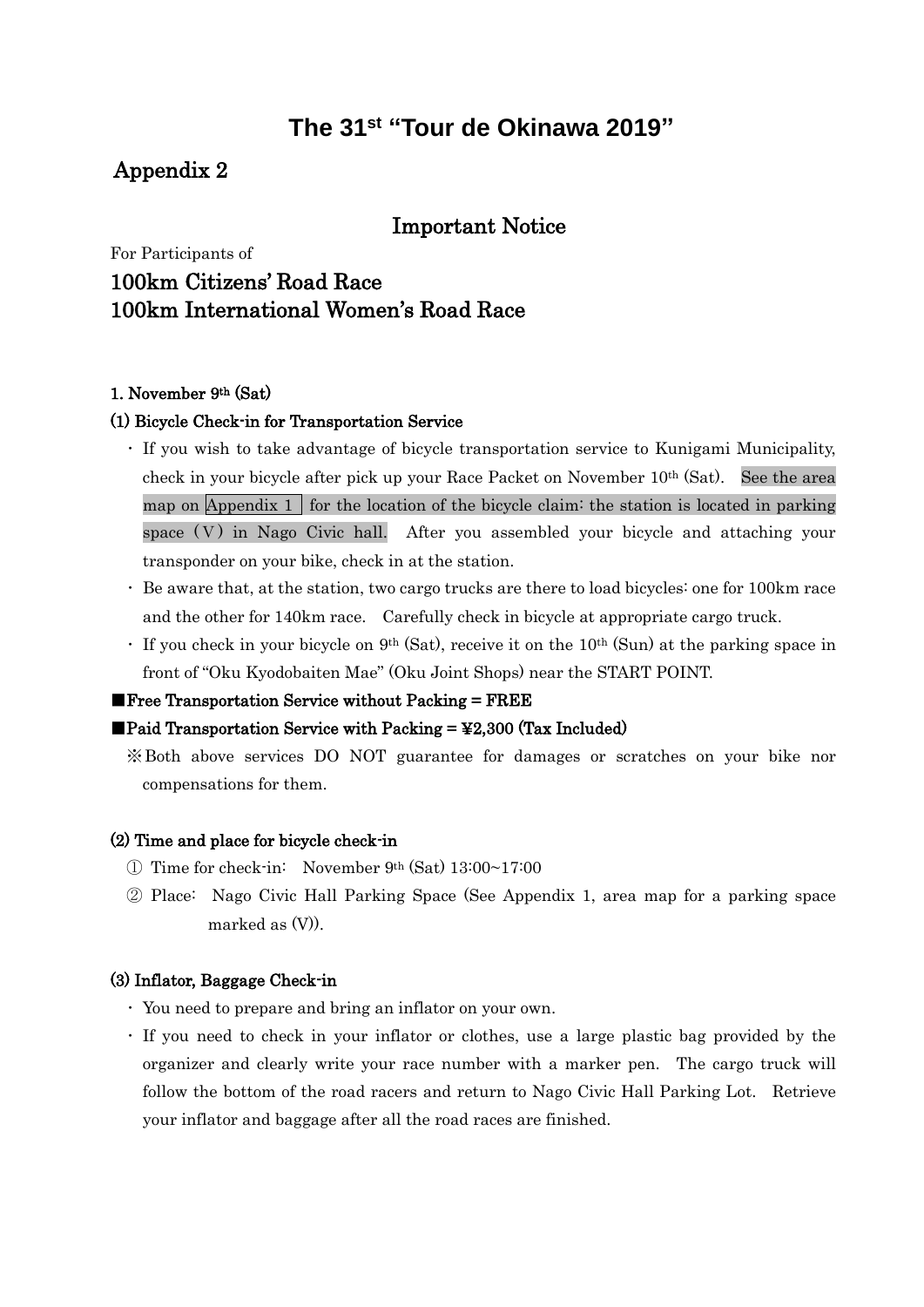# **The 31 st "Tour de Okinawa 2019"**

## Appendix 2

## Important Notice

# For Participants of

## 100km Citizens' Road Race 100km International Women's Road Race

### 1. November 9th (Sat)

### (1) Bicycle Check-in for Transportation Service

- ・ If you wish to take advantage of bicycle transportation service to Kunigami Municipality, check in your bicycle after pick up your Race Packet on November 10th (Sat). See the area map on Appendix 1 for the location of the bicycle claim: the station is located in parking space (V) in Nago Civic hall. After you assembled your bicycle and attaching your transponder on your bike, check in at the station.
- ・ Be aware that, at the station, two cargo trucks are there to load bicycles: one for 100km race and the other for 140km race. Carefully check in bicycle at appropriate cargo truck.
- $\cdot$  If you check in your bicycle on 9<sup>th</sup> (Sat), receive it on the 10<sup>th</sup> (Sun) at the parking space in front of "Oku Kyodobaiten Mae" (Oku Joint Shops) near the START POINT.

#### $\blacksquare$  Free Transportation Service without Packing  $=$  FREE

#### $\blacksquare$ Paid Transportation Service with Packing = \\$2,300 (Tax Included)

※Both above services DO NOT guarantee for damages or scratches on your bike nor compensations for them.

### (2) Time and place for bicycle check-in

- ① Time for check-in: November 9th (Sat) 13:00~17:00
- ② Place: Nago Civic Hall Parking Space (See Appendix 1, area map for a parking space marked as  $(V)$ ).

#### (3) Inflator, Baggage Check-in

- ・ You need to prepare and bring an inflator on your own.
- ・ If you need to check in your inflator or clothes, use a large plastic bag provided by the organizer and clearly write your race number with a marker pen. The cargo truck will follow the bottom of the road racers and return to Nago Civic Hall Parking Lot. Retrieve your inflator and baggage after all the road races are finished.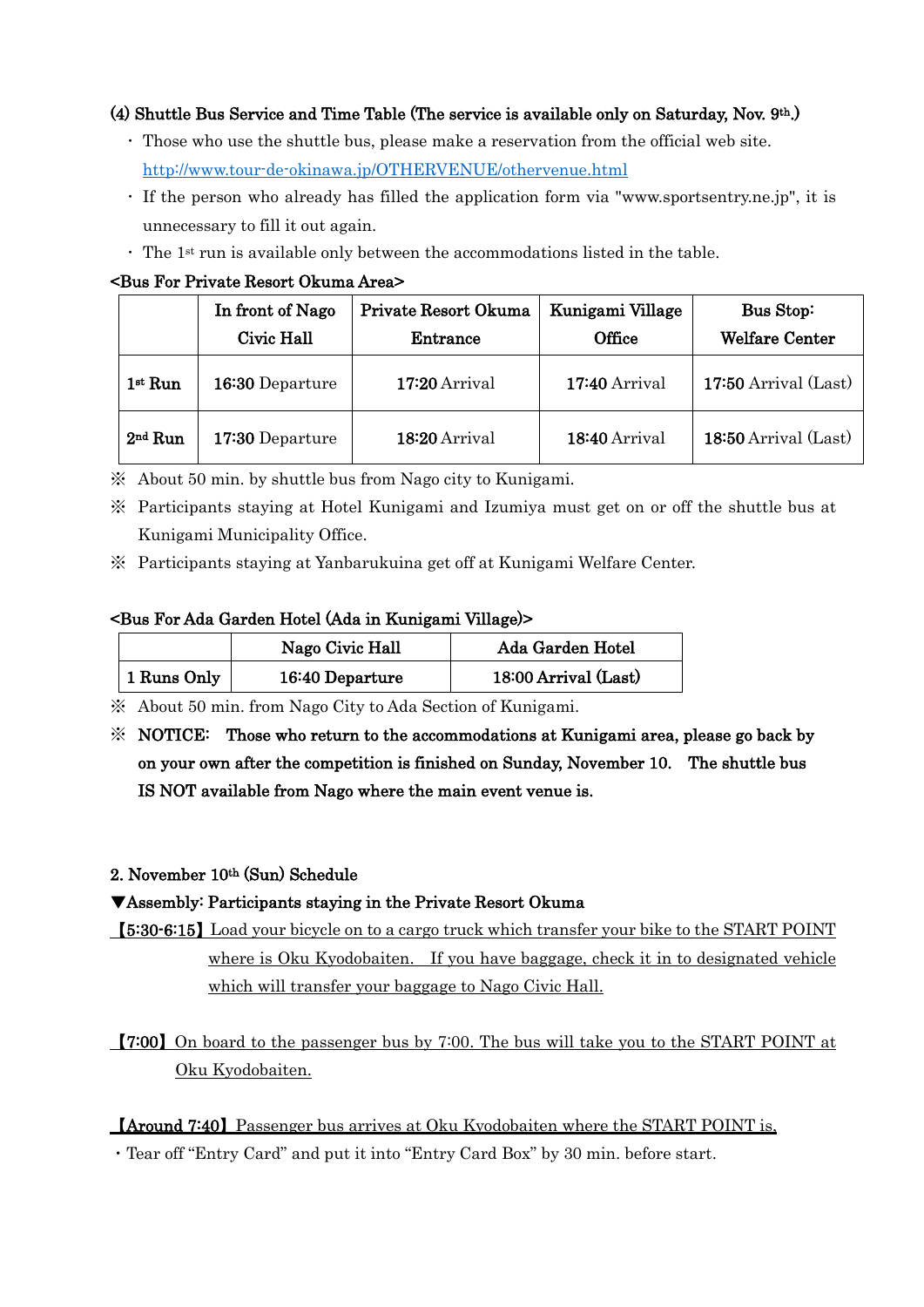## (4) Shuttle Bus Service and Time Table (The service is available only on Saturday, Nov. 9th.)

- ・ Those who use the shuttle bus, please make a reservation from the official web site. <http://www.tour-de-okinawa.jp/OTHERVENUE/othervenue.html>
- ・ If the person who already has filled the application form via "www.sportsentry.ne.jp", it is unnecessary to fill it out again.
- $\cdot$  The 1<sup>st</sup> run is available only between the accommodations listed in the table.

### <Bus For Private Resort Okuma Area>

|           | In front of Nago<br>Civic Hall | Private Resort Okuma<br>Entrance | Kunigami Village<br>Office | Bus Stop:<br><b>Welfare Center</b> |
|-----------|--------------------------------|----------------------------------|----------------------------|------------------------------------|
| $1st$ Run | 16:30 Departure                | 17:20 Arrival                    | $17:40$ Arrival            | $17:50$ Arrival (Last)             |
| $2nd$ Run | 17:30 Departure                | 18:20 Arrival                    | 18:40 Arrival              | 18:50 Arrival (Last)               |

- ※ About 50 min. by shuttle bus from Nago city to Kunigami.
- ※ Participants staying at Hotel Kunigami and Izumiya must get on or off the shuttle bus at Kunigami Municipality Office.
- ※ Participants staying at Yanbarukuina get off at Kunigami Welfare Center.

## <Bus For Ada Garden Hotel (Ada in Kunigami Village)>

|             | Nago Civic Hall | Ada Garden Hotel     |
|-------------|-----------------|----------------------|
| 1 Runs Only | 16:40 Departure | 18:00 Arrival (Last) |

※ About 50 min. from Nago City to Ada Section of Kunigami.

※ NOTICE: Those who return to the accommodations at Kunigami area, please go back by on your own after the competition is finished on Sunday, November 10. The shuttle bus IS NOT available from Nago where the main event venue is.

## 2. November 10th (Sun) Schedule

## ▼Assembly: Participants staying in the Private Resort Okuma

【5:30-6:15】Load your bicycle on to a cargo truck which transfer your bike to the START POINT where is Oku Kyodobaiten. If you have baggage, check it in to designated vehicle which will transfer your baggage to Nago Civic Hall.

【7:00】On board to the passenger bus by 7:00. The bus will take you to the START POINT at Oku Kyodobaiten.

## 【Around 7:40】Passenger bus arrives at Oku Kyodobaiten where the START POINT is,

・Tear off "Entry Card" and put it into "Entry Card Box" by 30 min. before start.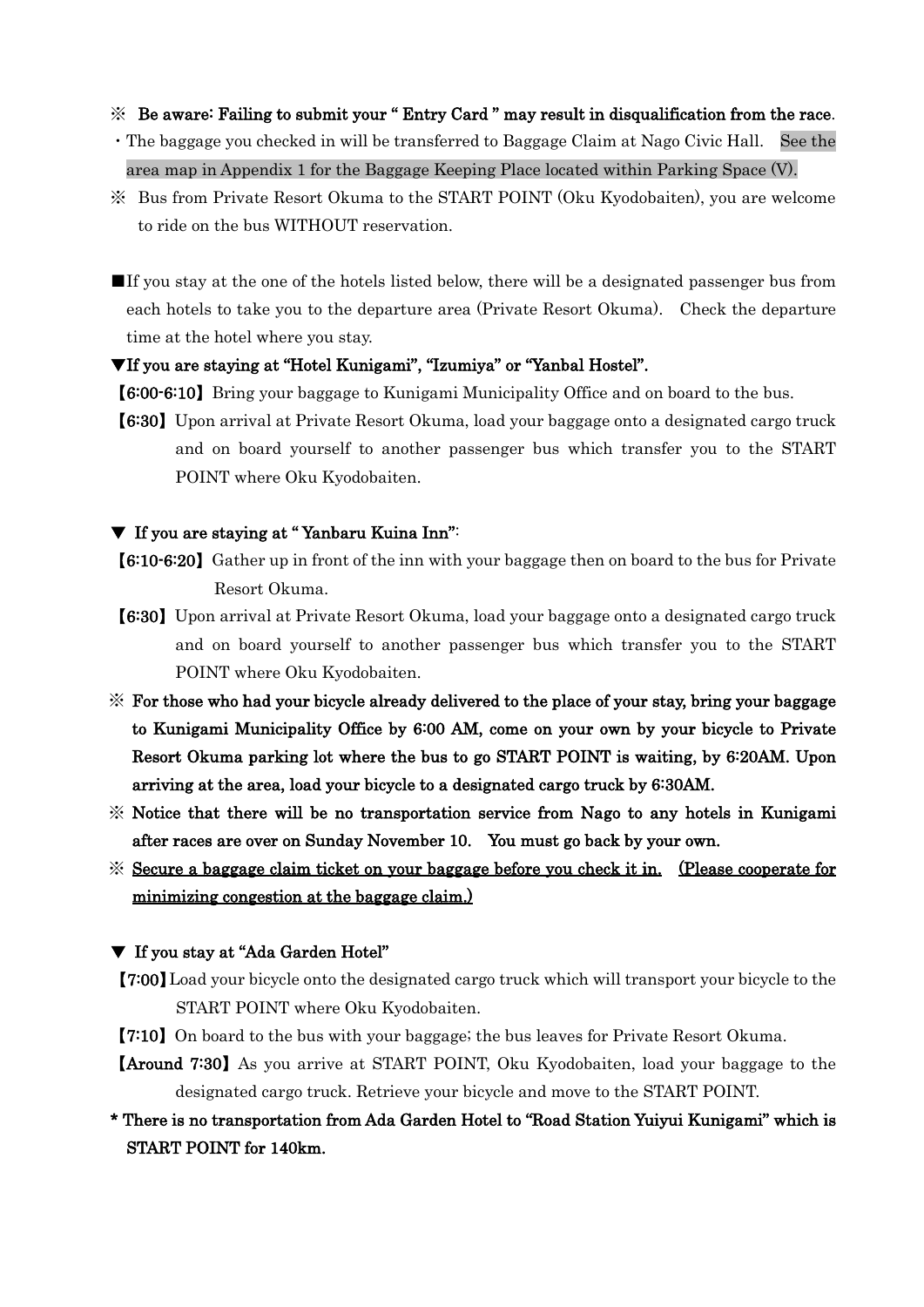#### ※ Be aware: Failing to submit your " Entry Card " may result in disqualification from the race.

- ・The baggage you checked in will be transferred to Baggage Claim at Nago Civic Hall. See the area map in Appendix 1 for the Baggage Keeping Place located within Parking Space (V).
- ※ Bus from Private Resort Okuma to the START POINT (Oku Kyodobaiten), you are welcome to ride on the bus WITHOUT reservation.
- ■If you stay at the one of the hotels listed below, there will be a designated passenger bus from each hotels to take you to the departure area (Private Resort Okuma). Check the departure time at the hotel where you stay.
- ▼If you are staying at "Hotel Kunigami", "Izumiya" or "Yanbal Hostel".
- 【6:00-6:10】Bring your baggage to Kunigami Municipality Office and on board to the bus.
- 【6:30】Upon arrival at Private Resort Okuma, load your baggage onto a designated cargo truck and on board yourself to another passenger bus which transfer you to the START POINT where Oku Kyodobaiten.

#### ▼ If you are staying at " Yanbaru Kuina Inn":

- 【6:10-6:20】 Gather up in front of the inn with your baggage then on board to the bus for Private Resort Okuma.
- 【6:30】Upon arrival at Private Resort Okuma, load your baggage onto a designated cargo truck and on board yourself to another passenger bus which transfer you to the START POINT where Oku Kyodobaiten.
- ※ For those who had your bicycle already delivered to the place of your stay, bring your baggage to Kunigami Municipality Office by 6:00 AM, come on your own by your bicycle to Private Resort Okuma parking lot where the bus to go START POINT is waiting, by 6:20AM. Upon arriving at the area, load your bicycle to a designated cargo truck by 6:30AM.
- ※ Notice that there will be no transportation service from Nago to any hotels in Kunigami after races are over on Sunday November 10. You must go back by your own.
- ※ Secure a baggage claim ticket on your baggage before you check it in. (Please cooperate for minimizing congestion at the baggage claim.)

#### ▼ If you stay at "Ada Garden Hotel"

- 【7:00】Load your bicycle onto the designated cargo truck which will transport your bicycle to the START POINT where Oku Kyodobaiten.
- 【7:10】On board to the bus with your baggage; the bus leaves for Private Resort Okuma.
- 【Around 7:30】As you arrive at START POINT, Oku Kyodobaiten, load your baggage to the designated cargo truck. Retrieve your bicycle and move to the START POINT.
- \* There is no transportation from Ada Garden Hotel to "Road Station Yuiyui Kunigami" which is START POINT for 140km.